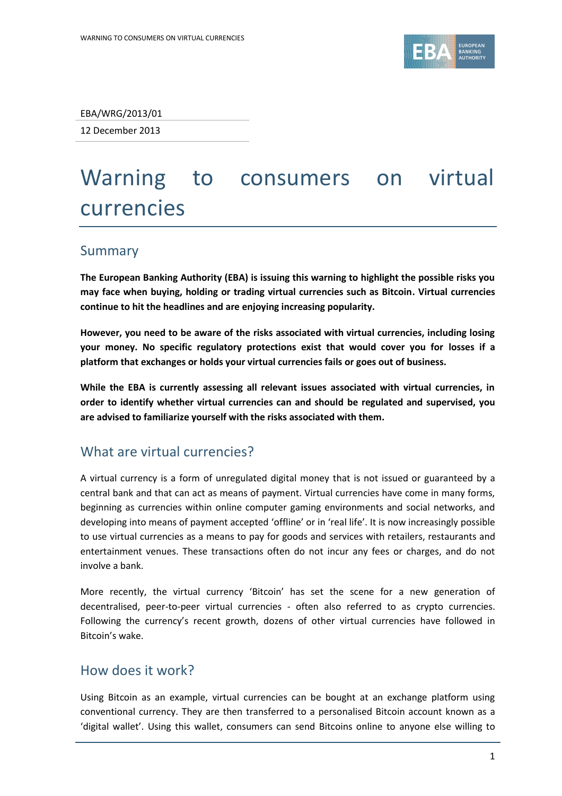

EBA/WRG/2013/01

12 December 2013

# Warning to consumers on virtual currencies

## Summary

**The European Banking Authority (EBA) is issuing this warning to highlight the possible risks you may face when buying, holding or trading virtual currencies such as Bitcoin. Virtual currencies continue to hit the headlines and are enjoying increasing popularity.** 

**However, you need to be aware of the risks associated with virtual currencies, including losing your money. No specific regulatory protections exist that would cover you for losses if a platform that exchanges or holds your virtual currencies fails or goes out of business.**

**While the EBA is currently assessing all relevant issues associated with virtual currencies, in order to identify whether virtual currencies can and should be regulated and supervised, you are advised to familiarize yourself with the risks associated with them.** 

## What are virtual currencies?

A virtual currency is a form of unregulated digital money that is not issued or guaranteed by a central bank and that can act as means of payment. Virtual currencies have come in many forms, beginning as currencies within online computer gaming environments and social networks, and developing into means of payment accepted 'offline' or in 'real life'. It is now increasingly possible to use virtual currencies as a means to pay for goods and services with retailers, restaurants and entertainment venues. These transactions often do not incur any fees or charges, and do not involve a bank.

More recently, the virtual currency 'Bitcoin' has set the scene for a new generation of decentralised, peer-to-peer virtual currencies - often also referred to as crypto currencies. Following the currency's recent growth, dozens of other virtual currencies have followed in Bitcoin's wake.

## How does it work?

Using Bitcoin as an example, virtual currencies can be bought at an exchange platform using conventional currency. They are then transferred to a personalised Bitcoin account known as a 'digital wallet'. Using this wallet, consumers can send Bitcoins online to anyone else willing to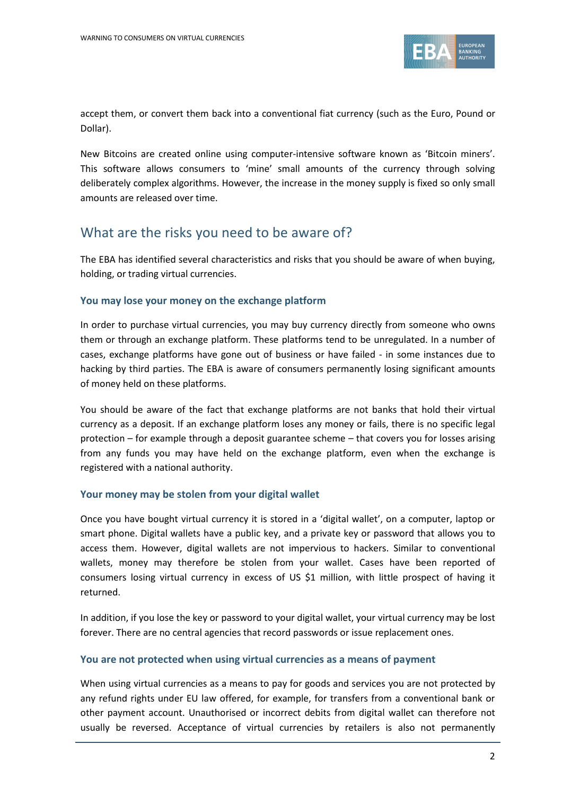

accept them, or convert them back into a conventional fiat currency (such as the Euro, Pound or Dollar).

New Bitcoins are created online using computer-intensive software known as 'Bitcoin miners'. This software allows consumers to 'mine' small amounts of the currency through solving deliberately complex algorithms. However, the increase in the money supply is fixed so only small amounts are released over time.

## What are the risks you need to be aware of?

The EBA has identified several characteristics and risks that you should be aware of when buying, holding, or trading virtual currencies.

#### **You may lose your money on the exchange platform**

In order to purchase virtual currencies, you may buy currency directly from someone who owns them or through an exchange platform. These platforms tend to be unregulated. In a number of cases, exchange platforms have gone out of business or have failed - in some instances due to hacking by third parties. The EBA is aware of consumers permanently losing significant amounts of money held on these platforms.

You should be aware of the fact that exchange platforms are not banks that hold their virtual currency as a deposit. If an exchange platform loses any money or fails, there is no specific legal protection – for example through a deposit guarantee scheme – that covers you for losses arising from any funds you may have held on the exchange platform, even when the exchange is registered with a national authority.

#### **Your money may be stolen from your digital wallet**

Once you have bought virtual currency it is stored in a 'digital wallet', on a computer, laptop or smart phone. Digital wallets have a public key, and a private key or password that allows you to access them. However, digital wallets are not impervious to hackers. Similar to conventional wallets, money may therefore be stolen from your wallet. Cases have been reported of consumers losing virtual currency in excess of US \$1 million, with little prospect of having it returned.

In addition, if you lose the key or password to your digital wallet, your virtual currency may be lost forever. There are no central agencies that record passwords or issue replacement ones.

#### **You are not protected when using virtual currencies as a means of payment**

When using virtual currencies as a means to pay for goods and services you are not protected by any refund rights under EU law offered, for example, for transfers from a conventional bank or other payment account. Unauthorised or incorrect debits from digital wallet can therefore not usually be reversed. Acceptance of virtual currencies by retailers is also not permanently